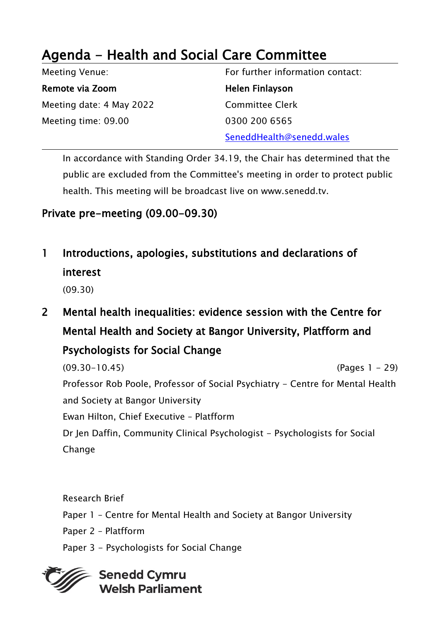## Agenda - Health and Social Care Committee

Meeting Venue: Remote via Zoom Meeting date: 4 May 2022 Meeting time: 09.00 For further information contact: Helen Finlayson Committee Clerk 0300 200 6565 SeneddHealth@senedd.wales

In accordance with Standing Order 34.19, the Chair has determined that the public are excluded from the Committee's meeting in order to protect public health. This meeting will be broadcast live on www.senedd.tv.

## Private pre-meeting (09.00-09.30)

1 Introductions, apologies, substitutions and declarations of interest

(09.30)

2 Mental health inequalities: evidence session with the Centre for Mental Health and Society at Bangor University, Platfform and Psychologists for Social Change

(09.30-10.45) (Pages 1 - 29) Professor Rob Poole, Professor of Social Psychiatry - Centre for Mental Health and Society at Bangor University Ewan Hilton, Chief Executive – Platfform Dr Jen Daffin, Community Clinical Psychologist - Psychologists for Social **Change** 

Research Brief Paper 1 – Centre for Mental Health and Society at Bangor University Paper 2 – Platfform Paper 3 - Psychologists for Social Change

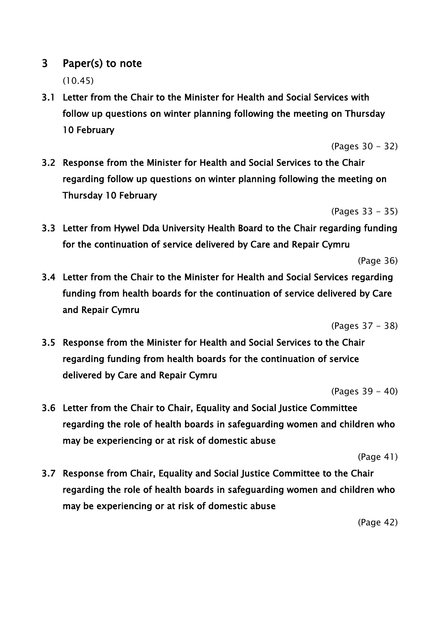## 3 Paper(s) to note

(10.45)

3.1 Letter from the Chair to the Minister for Health and Social Services with follow up questions on winter planning following the meeting on Thursday 10 February

(Pages 30 - 32)

3.2 Response from the Minister for Health and Social Services to the Chair regarding follow up questions on winter planning following the meeting on Thursday 10 February

(Pages 33 - 35)

3.3 Letter from Hywel Dda University Health Board to the Chair regarding funding for the continuation of service delivered by Care and Repair Cymru

(Page 36)

3.4 Letter from the Chair to the Minister for Health and Social Services regarding funding from health boards for the continuation of service delivered by Care and Repair Cymru

(Pages 37 - 38)

3.5 Response from the Minister for Health and Social Services to the Chair regarding funding from health boards for the continuation of service delivered by Care and Repair Cymru

(Pages 39 - 40)

3.6 Letter from the Chair to Chair, Equality and Social Justice Committee regarding the role of health boards in safeguarding women and children who may be experiencing or at risk of domestic abuse

(Page 41)

3.7 Response from Chair, Equality and Social Justice Committee to the Chair regarding the role of health boards in safeguarding women and children who may be experiencing or at risk of domestic abuse

(Page 42)